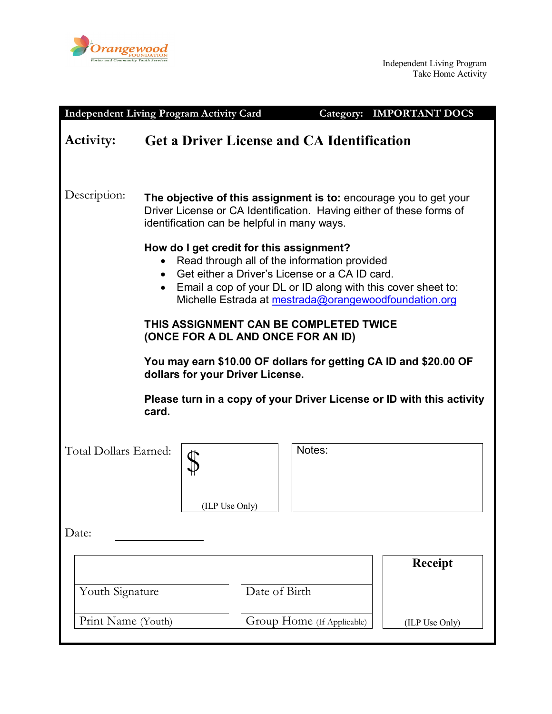

|                                                                                                      | <b>Independent Living Program Activity Card</b>                                                                                                                                                                                                                                               |                                                   | <b>Category: IMPORTANT DOCS</b> |  |
|------------------------------------------------------------------------------------------------------|-----------------------------------------------------------------------------------------------------------------------------------------------------------------------------------------------------------------------------------------------------------------------------------------------|---------------------------------------------------|---------------------------------|--|
| Activity:                                                                                            |                                                                                                                                                                                                                                                                                               | <b>Get a Driver License and CA Identification</b> |                                 |  |
| Description:                                                                                         | The objective of this assignment is to: encourage you to get your<br>Driver License or CA Identification. Having either of these forms of<br>identification can be helpful in many ways.                                                                                                      |                                                   |                                 |  |
|                                                                                                      | How do I get credit for this assignment?<br>Read through all of the information provided<br>Get either a Driver's License or a CA ID card.<br>$\bullet$<br>Email a cop of your DL or ID along with this cover sheet to:<br>$\bullet$<br>Michelle Estrada at mestrada@orangewoodfoundation.org |                                                   |                                 |  |
| THIS ASSIGNMENT CAN BE COMPLETED TWICE<br>(ONCE FOR A DL AND ONCE FOR AN ID)                         |                                                                                                                                                                                                                                                                                               |                                                   |                                 |  |
| You may earn \$10.00 OF dollars for getting CA ID and \$20.00 OF<br>dollars for your Driver License. |                                                                                                                                                                                                                                                                                               |                                                   |                                 |  |
| Please turn in a copy of your Driver License or ID with this activity<br>card.                       |                                                                                                                                                                                                                                                                                               |                                                   |                                 |  |
| Total Dollars Earned:                                                                                | (ILP Use Only)                                                                                                                                                                                                                                                                                | Notes:                                            |                                 |  |
| Date:                                                                                                |                                                                                                                                                                                                                                                                                               |                                                   |                                 |  |
| Youth Signature                                                                                      |                                                                                                                                                                                                                                                                                               | Date of Birth                                     | <b>Receipt</b>                  |  |
| Print Name (Youth)                                                                                   |                                                                                                                                                                                                                                                                                               | Group Home (If Applicable)                        | (ILP Use Only)                  |  |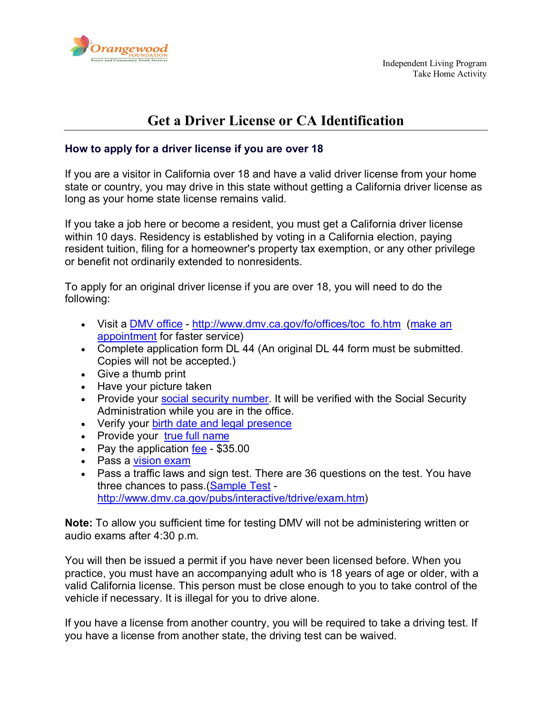

# **Get a Driver License or CA Identification**

## **How to apply for a driver license if you are over 18**

If you are a visitor in California over 18 and have a valid driver license from your home state or country, you may drive in this state without getting a California driver license as long as your home state license remains valid.

If you take a job here or become a resident, you must get a California driver license within 10 days. Residency is established by voting in a California election, paying resident tuition, filing for a homeowner's property tax exemption, or any other privilege or benefit not ordinarily extended to nonresidents.

To apply for an original driver license if you are over 18, you will need to do the following:

- Visit a [DMV office](http://www.dmv.ca.gov/fo/fotoc.htm) [http://www.dmv.ca.gov/fo/offices/toc\\_fo.htm](http://www.dmv.ca.gov/fo/offices/toc_fo.htm) (make an [appointment](https://mv.dmv.ca.gov/foAppt2/welcome.do) for faster service)
- Complete application form DL 44 (An original DL 44 form must be submitted. Copies will not be accepted.)
- Give a thumb print
- Have your picture taken
- Provide your [social security number.](http://www.dmv.ca.gov/dl/dl_info.htm#SSN#SSN) It will be verified with the Social Security Administration while you are in the office.
- Verify your birth date [and legal presence](http://www.dmv.ca.gov/dl/dl_info.htm#BDLP#BDLP)
- Provide your [true full name](http://www.dmv.ca.gov/pubs/brochures/fast_facts/ffdl05.htm#true)
- Pay the application [fee](http://www.dmv.ca.gov/dl/fees/driverlicense_fees.htm#classc) \$35.00
- Pass a [vision exam](http://www.dmv.ca.gov/dl/dl_info.htm#VISION#VISION)
- Pass a traffic laws and sign test. There are 36 questions on the test. You have three chances to pass. [\(Sample Test](http://www.dmv.ca.gov/pubs/interactive/tdrive/exam.htm) [http://www.dmv.ca.gov/pubs/interactive/tdrive/exam.htm\)](http://www.dmv.ca.gov/pubs/interactive/tdrive/exam.htm)

**Note:** To allow you sufficient time for testing DMV will not be administering written or audio exams after 4:30 p.m.

You will then be issued a permit if you have never been licensed before. When you practice, you must have an accompanying adult who is 18 years of age or older, with a valid California license. This person must be close enough to you to take control of the vehicle if necessary. It is illegal for you to drive alone.

If you have a license from another country, you will be required to take a driving test. If you have a license from another state, the driving test can be waived.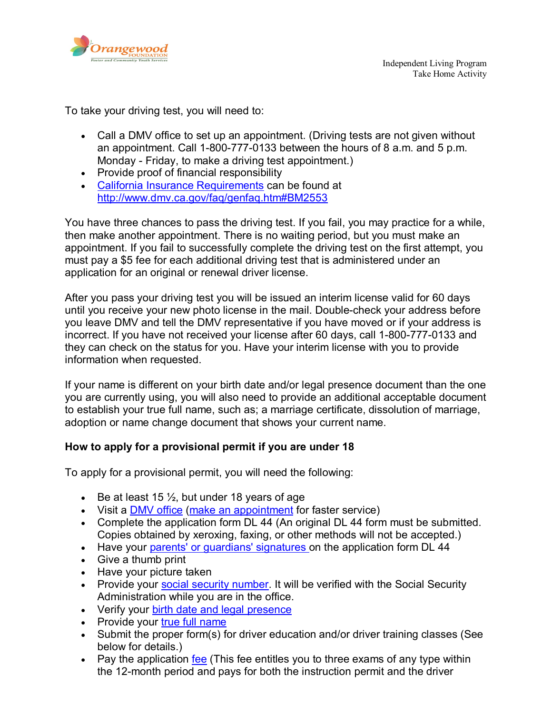

To take your driving test, you will need to:

- Call a DMV office to set up an appointment. (Driving tests are not given without an appointment. Call 1-800-777-0133 between the hours of 8 a.m. and 5 p.m. Monday - Friday, to make a driving test appointment.)
- Provide proof of financial responsibility
- [California Insurance Requirements](http://www.dmv.ca.gov/faq/genfaq.htm#BM2553) can be found at <http://www.dmv.ca.gov/faq/genfaq.htm#BM2553>

You have three chances to pass the driving test. If you fail, you may practice for a while, then make another appointment. There is no waiting period, but you must make an appointment. If you fail to successfully complete the driving test on the first attempt, you must pay a \$5 fee for each additional driving test that is administered under an application for an original or renewal driver license.

After you pass your driving test you will be issued an interim license valid for 60 days until you receive your new photo license in the mail. Double-check your address before you leave DMV and tell the DMV representative if you have moved or if your address is incorrect. If you have not received your license after 60 days, call 1-800-777-0133 and they can check on the status for you. Have your interim license with you to provide information when requested.

If your name is different on your birth date and/or legal presence document than the one you are currently using, you will also need to provide an additional acceptable document to establish your true full name, such as; a marriage certificate, dissolution of marriage, adoption or name change document that shows your current name.

#### **How to apply for a provisional permit if you are under 18**

To apply for a provisional permit, you will need the following:

- Be at least 15  $\frac{1}{2}$ , but under 18 years of age
- Visit a [DMV office](http://www.dmv.ca.gov/fo/fotoc.htm) [\(make an appointment](https://mv.dmv.ca.gov/foAppt2/welcome.do) for faster service)
- Complete the application form DL 44 (An original DL 44 form must be submitted. Copies obtained by xeroxing, faxing, or other methods will not be accepted.)
- Have your [parents' or guardians' signatures o](http://www.dmv.ca.gov/dl/dl_info.htm#FRMINOR#FRMINOR)n the application form DL 44
- Give a thumb print
- Have your picture taken
- Provide your [social security number.](http://www.dmv.ca.gov/dl/dl_info.htm#SSN#SSN) It will be verified with the Social Security Administration while you are in the office.
- Verify your [birth date and legal presence](http://www.dmv.ca.gov/dl/dl_info.htm#BDLP#BDLP)
- Provide your [true full name](http://www.dmv.ca.gov/pubs/brochures/fast_facts/ffdl05.htm#true)
- Submit the proper form(s) for driver education and/or driver training classes (See below for details.)
- Pay the application [fee](http://www.dmv.ca.gov/dl/fees/driverlicense_fees.htm#classc) (This fee entitles you to three exams of any type within the 12-month period and pays for both the instruction permit and the driver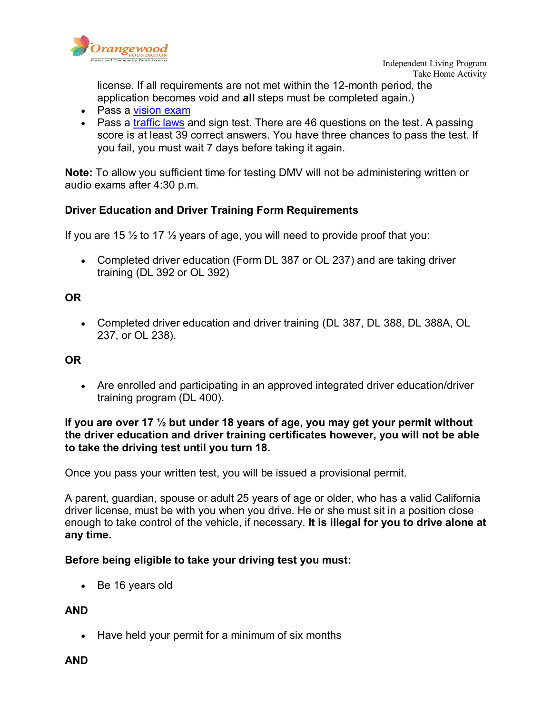

license. If all requirements are not met within the 12-month period, the application becomes void and **all** steps must be completed again.)

- Pass a [vision exam](http://www.dmv.ca.gov/dl/dl_info.htm#VISION#VISION)
- Pass a [traffic laws](http://www.dmv.ca.gov/pubs/interactive/tdrive/exam.htm) and sign test. There are 46 questions on the test. A passing score is at least 39 correct answers. You have three chances to pass the test. If you fail, you must wait 7 days before taking it again.

**Note:** To allow you sufficient time for testing DMV will not be administering written or audio exams after 4:30 p.m.

## **Driver Education and Driver Training Form Requirements**

If you are 15  $\frac{1}{2}$  to 17  $\frac{1}{2}$  years of age, you will need to provide proof that you:

• Completed driver education (Form DL 387 or OL 237) and are taking driver training (DL 392 or OL 392)

## **OR**

• Completed driver education and driver training (DL 387, DL 388, DL 388A, OL 237, or OL 238).

# **OR**

• Are enrolled and participating in an approved integrated driver education/driver training program (DL 400).

#### **If you are over 17 ½ but under 18 years of age, you may get your permit without the driver education and driver training certificates however, you will not be able to take the driving test until you turn 18.**

Once you pass your written test, you will be issued a provisional permit.

A parent, guardian, spouse or adult 25 years of age or older, who has a valid California driver license, must be with you when you drive. He or she must sit in a position close enough to take control of the vehicle, if necessary. **It is illegal for you to drive alone at any time.**

## **Before being eligible to take your driving test you must:**

• Be 16 years old

## **AND**

• Have held your permit for a minimum of six months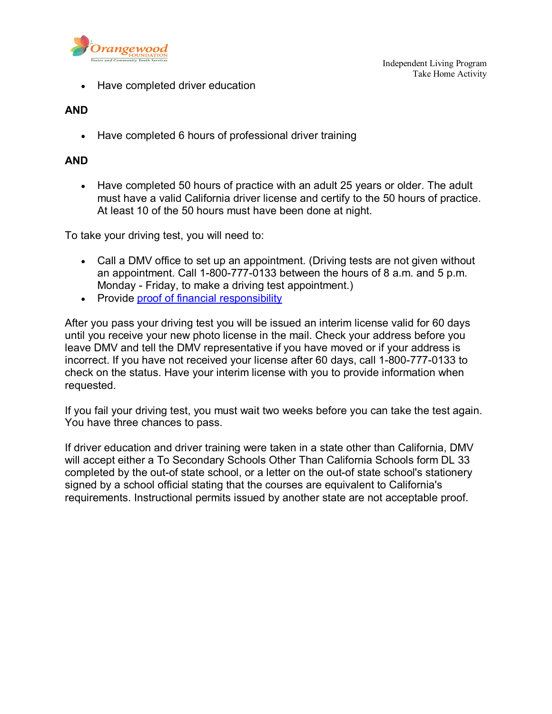

• Have completed driver education

## **AND**

• Have completed 6 hours of professional driver training

## **AND**

• Have completed 50 hours of practice with an adult 25 years or older. The adult must have a valid California driver license and certify to the 50 hours of practice. At least 10 of the 50 hours must have been done at night.

To take your driving test, you will need to:

- Call a DMV office to set up an appointment. (Driving tests are not given without an appointment. Call 1-800-777-0133 between the hours of 8 a.m. and 5 p.m. Monday - Friday, to make a driving test appointment.)
- Provide [proof of financial responsibility](http://www.dmv.ca.gov/faq/genfaq.htm#BM2553)

After you pass your driving test you will be issued an interim license valid for 60 days until you receive your new photo license in the mail. Check your address before you leave DMV and tell the DMV representative if you have moved or if your address is incorrect. If you have not received your license after 60 days, call 1-800-777-0133 to check on the status. Have your interim license with you to provide information when requested.

If you fail your driving test, you must wait two weeks before you can take the test again. You have three chances to pass.

If driver education and driver training were taken in a state other than California, DMV will accept either a To Secondary Schools Other Than California Schools form DL 33 completed by the out-of state school, or a letter on the out-of state school's stationery signed by a school official stating that the courses are equivalent to California's requirements. Instructional permits issued by another state are not acceptable proof.